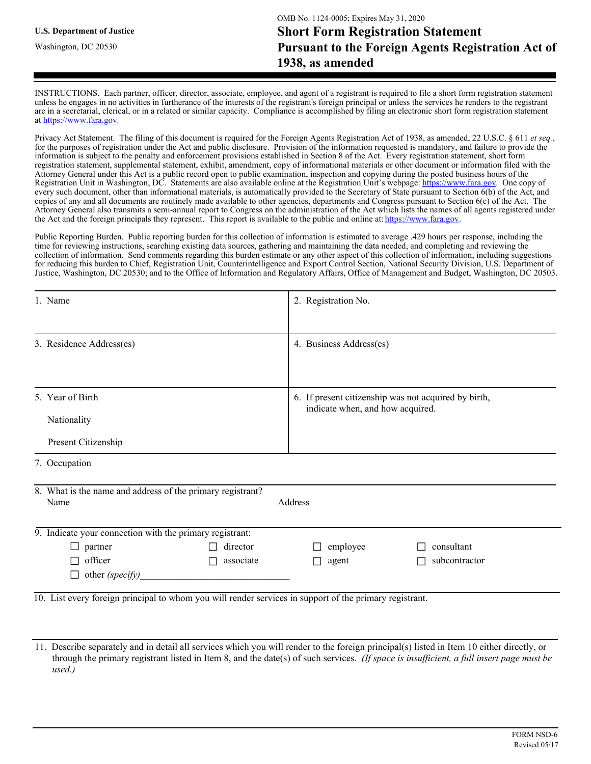INSTRUCTIONS. Each partner, officer, director, associate, employee, and agent of a registrant is required to file a short form registration statement unless he engages in no activities in furtherance of the interests of the registrant's foreign principal or unless the services he renders to the registrant are in a secretarial, clerical, or in a related or similar capacity. Compliance is accomplished by filing an electronic short form registration statement at https://www.fara.gov.

Privacy Act Statement. The filing of this document is required for the Foreign Agents Registration Act of 1938, as amended, 22 U.S.C. § 611 *et seq.*, for the purposes of registration under the Act and public disclosure. Provision of the information requested is mandatory, and failure to provide the information is subject to the penalty and enforcement provisions established in Section 8 of the Act. Every registration statement, short form registration statement, supplemental statement, exhibit, amendment, copy of informational materials or other document or information filed with the Attorney General under this Act is a public record open to public examination, inspection and copying during the posted business hours of the Registration Unit in Washington, DC. Statements are also available online at the Registration Unit's webpage: https://www.fara.gov. One copy of every such document, other than informational materials, is automatically provided to the Secretary of State pursuant to Section 6(b) of the Act, and copies of any and all documents are routinely made available to other agencies, departments and Congress pursuant to Section 6(c) of the Act. The Attorney General also transmits a semi-annual report to Congress on the administration of the Act which lists the names of all agents registered under the Act and the foreign principals they represent. This report is available to the public and online at: https://www.fara.gov.

Public Reporting Burden. Public reporting burden for this collection of information is estimated to average .429 hours per response, including the time for reviewing instructions, searching existing data sources, gathering and maintaining the data needed, and completing and reviewing the collection of information. Send comments regarding this burden estimate or any other aspect of this collection of information, including suggestions for reducing this burden to Chief, Registration Unit, Counterintelligence and Export Control Section, National Security Division, U.S. Department of Justice, Washington, DC 20530; and to the Office of Information and Regulatory Affairs, Office of Management and Budget, Washington, DC 20503.

|                                                          | 1. Name                                                                                                | 2. Registration No.                                                                      |               |  |  |  |  |
|----------------------------------------------------------|--------------------------------------------------------------------------------------------------------|------------------------------------------------------------------------------------------|---------------|--|--|--|--|
|                                                          |                                                                                                        |                                                                                          |               |  |  |  |  |
|                                                          | 3. Residence Address(es)                                                                               | 4. Business Address(es)                                                                  |               |  |  |  |  |
|                                                          |                                                                                                        |                                                                                          |               |  |  |  |  |
|                                                          | 5. Year of Birth                                                                                       | 6. If present citizenship was not acquired by birth,<br>indicate when, and how acquired. |               |  |  |  |  |
|                                                          | Nationality                                                                                            |                                                                                          |               |  |  |  |  |
|                                                          | Present Citizenship                                                                                    |                                                                                          |               |  |  |  |  |
|                                                          | 7. Occupation                                                                                          |                                                                                          |               |  |  |  |  |
|                                                          | 8. What is the name and address of the primary registrant?                                             |                                                                                          |               |  |  |  |  |
|                                                          | Address<br>Name                                                                                        |                                                                                          |               |  |  |  |  |
| 9. Indicate your connection with the primary registrant: |                                                                                                        |                                                                                          |               |  |  |  |  |
|                                                          | director<br>$\Box$ partner<br>П                                                                        | employee<br>$\perp$                                                                      | consultant    |  |  |  |  |
|                                                          | officer<br>associate<br>П                                                                              | agent<br>П                                                                               | subcontractor |  |  |  |  |
|                                                          | other (specify)                                                                                        |                                                                                          |               |  |  |  |  |
|                                                          | 10 I jet every foreign principal to whom you will render services in support of the primary registrant |                                                                                          |               |  |  |  |  |

10. List every foreign principal to whom you will render services in support of the primary registrant.

<sup>11.</sup> Describe separately and in detail all services which you will render to the foreign principal(s) listed in Item 10 either directly, or through the primary registrant listed in Item 8, and the date(s) of such services. *(If space is insufficient, a full insert page must be used.)*